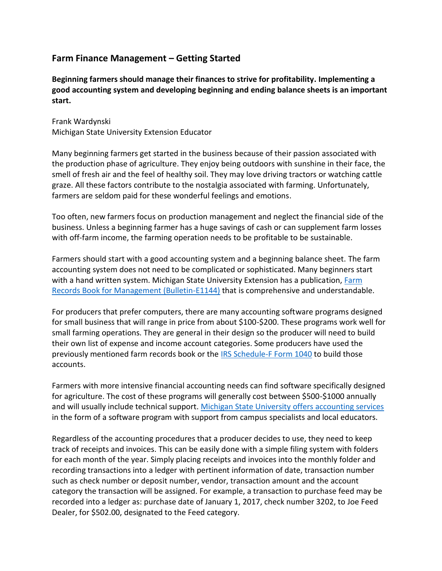## **Farm Finance Management – Getting Started**

**Beginning farmers should manage their finances to strive for profitability. Implementing a good accounting system and developing beginning and ending balance sheets is an important start.**

Frank Wardynski Michigan State University Extension Educator

Many beginning farmers get started in the business because of their passion associated with the production phase of agriculture. They enjoy being outdoors with sunshine in their face, the smell of fresh air and the feel of healthy soil. They may love driving tractors or watching cattle graze. All these factors contribute to the nostalgia associated with farming. Unfortunately, farmers are seldom paid for these wonderful feelings and emotions.

Too often, new farmers focus on production management and neglect the financial side of the business. Unless a beginning farmer has a huge savings of cash or can supplement farm losses with off-farm income, the farming operation needs to be profitable to be sustainable.

Farmers should start with a good accounting system and a beginning balance sheet. The farm accounting system does not need to be complicated or sophisticated. Many beginners start with a hand written system. Michigan State University Extension has a publication, Farm [Records Book for Management \(Bulletin-E1144\)](http://msue.anr.msu.edu/resources/farm_records_book_for_management_e1144) that is comprehensive and understandable.

For producers that prefer computers, there are many accounting software programs designed for small business that will range in price from about \$100-\$200. These programs work well for small farming operations. They are general in their design so the producer will need to build their own list of expense and income account categories. Some producers have used the previously mentioned farm records book or the [IRS Schedule-F Form 1040](https://www.irs.gov/pub/irs-pdf/f1040sf.pdf) to build those accounts.

Farmers with more intensive financial accounting needs can find software specifically designed for agriculture. The cost of these programs will generally cost between \$500-\$1000 annually and will usually include technical support. [Michigan State University offers accounting services](http://telfarm.canr.msu.edu/) in the form of a software program with support from campus specialists and local educators.

Regardless of the accounting procedures that a producer decides to use, they need to keep track of receipts and invoices. This can be easily done with a simple filing system with folders for each month of the year. Simply placing receipts and invoices into the monthly folder and recording transactions into a ledger with pertinent information of date, transaction number such as check number or deposit number, vendor, transaction amount and the account category the transaction will be assigned. For example, a transaction to purchase feed may be recorded into a ledger as: purchase date of January 1, 2017, check number 3202, to Joe Feed Dealer, for \$502.00, designated to the Feed category.